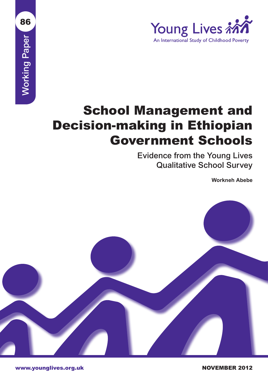

# **Working Paper** Working Paper

86

# School Management and Decision-making in Ethiopian Government Schools

Evidence from the Young Lives Qualitative School Survey

**Workneh Abebe**

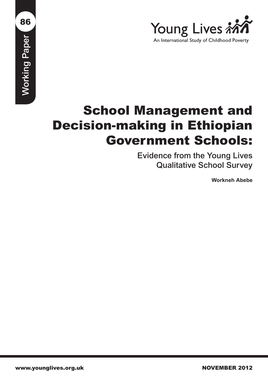

# School Management and Decision-making in Ethiopian Government Schools:

Evidence from the Young Lives Qualitative School Survey

**Workneh Abebe**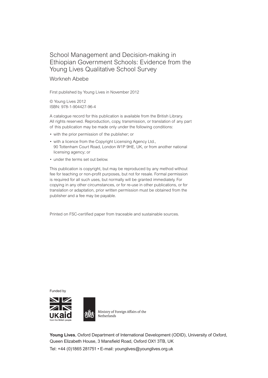### School Management and Decision-making in Ethiopian Government Schools: Evidence from the Young Lives Qualitative School Survey

#### Workneh Abebe

First published by Young Lives in November 2012

© Young Lives 2012 ISBN: 978-1-904427-96-4

A catalogue record for this publication is available from the British Library. All rights reserved. Reproduction, copy, transmission, or translation of any part of this publication may be made only under the following conditions:

- with the prior permission of the publisher; or
- with a licence from the Copyright Licensing Agency Ltd., 90 Tottenham Court Road, London W1P 9HE, UK, or from another national licensing agency; or
- under the terms set out below.

This publication is copyright, but may be reproduced by any method without fee for teaching or non-profit purposes, but not for resale. Formal permission is required for all such uses, but normally will be granted immediately. For copying in any other circumstances, or for re-use in other publications, or for translation or adaptation, prior written permission must be obtained from the publisher and a fee may be payable.

Printed on FSC-certified paper from traceable and sustainable sources.

Funded by





Ministry of Foreign Affairs of the Netherlands

**Young Lives**, Oxford Department of International Development (ODID), University of Oxford, Queen Elizabeth House, 3 Mansfield Road, Oxford OX1 3TB, UK Tel: +44 (0)1865 281751 • E-mail: younglives@younglives.org.uk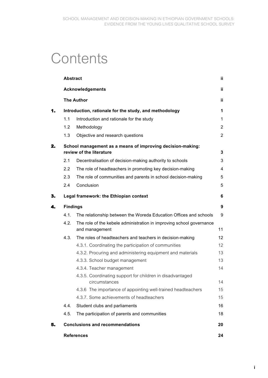# **Contents**

|    | <b>Abstract</b>                                                                        |                                                                                        | ij.            |  |
|----|----------------------------------------------------------------------------------------|----------------------------------------------------------------------------------------|----------------|--|
|    |                                                                                        | <b>Acknowledgements</b>                                                                | ii             |  |
|    |                                                                                        | <b>The Author</b>                                                                      | ii             |  |
| 1. | Introduction, rationale for the study, and methodology                                 |                                                                                        |                |  |
|    | 1.1                                                                                    | Introduction and rationale for the study                                               | $\mathbf 1$    |  |
|    | 1.2                                                                                    | Methodology                                                                            | $\overline{2}$ |  |
|    | 1.3                                                                                    | Objective and research questions                                                       | $\overline{2}$ |  |
| 2. | School management as a means of improving decision-making:<br>review of the literature |                                                                                        |                |  |
|    | 2.1                                                                                    | Decentralisation of decision-making authority to schools                               | 3              |  |
|    | 2.2                                                                                    | The role of headteachers in promoting key decision-making                              | 4              |  |
|    | 2.3                                                                                    | The role of communities and parents in school decision-making                          | 5              |  |
|    | 2.4                                                                                    | Conclusion                                                                             | 5              |  |
| 3. |                                                                                        | Legal framework: the Ethiopian context                                                 | 6              |  |
| 4. | <b>Findings</b>                                                                        |                                                                                        |                |  |
|    | 4.1.                                                                                   | The relationship between the Woreda Education Offices and schools                      | 9              |  |
|    | 4.2.                                                                                   | The role of the kebele administration in improving school governance<br>and management | 11             |  |
|    | 4.3.                                                                                   | The roles of headteachers and teachers in decision-making                              | 12             |  |
|    |                                                                                        | 4.3.1. Coordinating the participation of communities                                   | 12             |  |
|    |                                                                                        | 4.3.2. Procuring and administering equipment and materials                             | 13             |  |
|    |                                                                                        | 4.3.3. School budget management                                                        | 13             |  |
|    |                                                                                        | 4.3.4. Teacher management                                                              | 14             |  |
|    |                                                                                        | 4.3.5. Coordinating support for children in disadvantaged<br>circumstances             | 14             |  |
|    |                                                                                        | 4.3.6 The importance of appointing well-trained headteachers                           | 15             |  |
|    |                                                                                        | 4.3.7. Some achievements of headteachers                                               | 15             |  |
|    | 4.4.                                                                                   | Student clubs and parliaments                                                          | 16             |  |
|    | 4.5.                                                                                   | The participation of parents and communities                                           | 18             |  |
| 5. | <b>Conclusions and recommendations</b>                                                 |                                                                                        |                |  |
|    |                                                                                        | <b>References</b>                                                                      | 24             |  |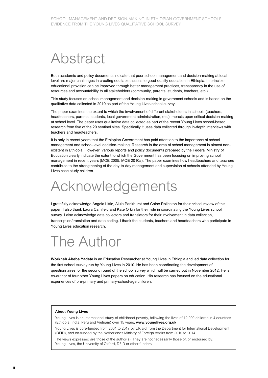# Abstract

Both academic and policy documents indicate that poor school management and decision-making at local level are major challenges in creating equitable access to good-quality education in Ethiopia. In principle, educational provision can be improved through better management practices, transparency in the use of resources and accountability to all stakeholders (community, parents, students, teachers, etc.).

This study focuses on school management and decision-making in government schools and is based on the qualitative data collected in 2010 as part of the Young Lives school survey.

The paper examines the extent to which the involvement of different stakeholders in schools (teachers, headteachers, parents, students, local government administration, etc.) impacts upon critical decision-making at school level. The paper uses qualitative data collected as part of the recent Young Lives school-based research from five of the 20 sentinel sites. Specifically it uses data collected through in-depth interviews with teachers and headteachers.

It is only in recent years that the Ethiopian Government has paid attention to the importance of school management and school-level decision-making. Research in the area of school management is almost nonexistent in Ethiopia. However, various reports and policy documents prepared by the Federal Ministry of Education clearly indicate the extent to which the Government has been focusing on improving school management in recent years (MOE 2005; MOE 2010a). The paper examines how headteachers and teachers contribute to the strengthening of the day-to-day management and supervision of schools attended by Young Lives case study children.

# Acknowledgements

I gratefully acknowledge Angela Little, Alula Pankhurst and Caine Rolleston for their critical review of this paper. I also thank Laura Camfield and Kate Orkin for their role in coordinating the Young Lives school survey. I also acknowledge data collectors and translators for their involvement in data collection, transcription/translation and data coding. I thank the students, teachers and headteachers who participate in Young Lives education research.

# The Author

**Workneh Abebe Yadete** is an Education Researcher at Young Lives in Ethiopia and led data collection for the first school survey run by Young Lives in 2010. He has been coordinating the development of questionnaires for the second round of the school survey which will be carried out in November 2012. He is co-author of four other Young Lives papers on education. His research has focused on the educational experiences of pre-primary and primary-school-age children.

#### **About Young Lives**

Young Lives is an international study of childhood poverty, following the lives of 12,000 children in 4 countries (Ethiopia, India, Peru and Vietnam) over 15 years. **www.younglives.org.uk**

Young Lives is core-funded from 2001 to 2017 by UK aid from the Department for International Development (DFID), and co-funded by the Netherlands Ministry of Foreign Affairs from 2010 to 2014.

The views expressed are those of the author(s). They are not necessarily those of, or endorsed by, Young Lives, the University of Oxford, DFID or other funders.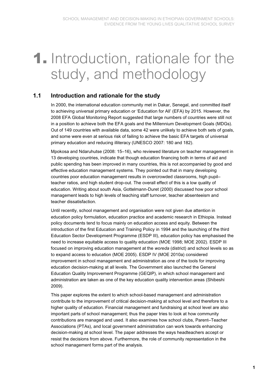# **1.** Introduction, rationale for the study, and methodology

### **1.1 Introduction and rationale for the study**

In 2000, the international education community met in Dakar, Senegal, and committed itself to achieving universal primary education or 'Education for All' (EFA) by 2015. However, the 2008 EFA Global Monitoring Report suggested that large numbers of countries were still not in a position to achieve both the EFA goals and the Millennium Development Goals (MDGs). Out of 149 countries with available data, some 42 were unlikely to achieve both sets of goals, and some were even at serious risk of failing to achieve the basic EFA targets of universal primary education and reducing illiteracy (UNESCO 2007: 180 and 182).

Mpokosa and Ndaruhutse (2008: 15–16), who reviewed literature on teacher management in 13 developing countries, indicate that though education financing both in terms of aid and public spending has been improved in many countries, this is not accompanied by good and effective education management systems. They pointed out that in many developing countries poor education management results in overcrowded classrooms, high pupil– teacher ratios, and high student drop-out. The overall effect of this is a low quality of education. Writing about south Asia, Gottelmann-Duret (2000) discussed how poor school management leads to high levels of teaching staff turnover, teacher absenteeism and teacher dissatisfaction.

Until recently, school management and organisation were not given due attention in education policy formulation, education practice and academic research in Ethiopia. Instead policy documents tend to focus mainly on education access and equity. Between the introduction of the first Education and Training Policy in 1994 and the launching of the third Education Sector Development Programme (ESDP III), education policy has emphasised the need to increase equitable access to quality education (MOE 1998; MOE 2002). ESDP III focused on improving education management at the *woreda* (district) and school levels so as to expand access to education (MOE 2005). ESDP IV (MOE 2010a) considered improvement in school management and administration as one of the tools for improving education decision-making at all levels. The Government also launched the General Education Quality Improvement Programme (GEQIP), in which school management and administration are taken as one of the key education quality intervention areas (Shibeshi 2009).

This paper explores the extent to which school-based management and administration contribute to the improvement of critical decision-making at school level and therefore to a higher quality of education. Financial management and fundraising at school level are also important parts of school management; thus the paper tries to look at how community contributions are managed and used. It also examines how school clubs, Parent–Teacher Associations (PTAs), and local government administration can work towards enhancing decision-making at school level. The paper addresses the ways headteachers accept or resist the decisions from above. Furthermore, the role of community representation in the school management forms part of the analysis.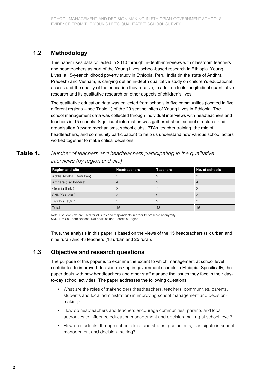### **1.2 Methodology**

This paper uses data collected in 2010 through in-depth-interviews with classroom teachers and headteachers as part of the Young Lives school-based research in Ethiopia. Young Lives, a 15-year childhood poverty study in Ethiopia, Peru, India (in the state of Andhra Pradesh) and Vietnam, is carrying out an in-depth qualitative study on children's educational access and the quality of the education they receive, in addition to its longitudinal quantitative research and its qualitative research on other aspects of children's lives.

The qualitative education data was collected from schools in five communities (located in five different regions – see Table 1) of the 20 sentinel sites of Young Lives in Ethiopia. The school management data was collected through individual interviews with headteachers and teachers in 15 schools. Significant information was gathered about school structures and organisation (reward mechanisms, school clubs, PTAs, teacher training, the role of headteachers, and community participation) to help us understand how various school actors worked together to make critical decisions.

#### **Table 1.** *Number of teachers and headteachers participating in the qualitative interviews (by region and site)*

| <b>Region and site</b> | <b>Headteachers</b> | <b>Teachers</b> | No. of schools |
|------------------------|---------------------|-----------------|----------------|
| Addis Ababa (Bertukan) | 3                   | 9               |                |
| Amhara (Tach-Meret)    | $\overline{4}$      | 9               |                |
| Oromia (Leki)          |                     |                 |                |
| SNNPR (Leku)           | 3                   | 9               | 3              |
| Tigray (Zeytuni)       | 3                   | 9               | 3              |
| Total                  | 15                  | 43              | 15             |

Note: Pseudonyms are used for all sites and respondents in order to preserve anonymity. SNNPR = Southern Nations, Nationalities and People's Region.

Thus, the analysis in this paper is based on the views of the 15 headteachers (six urban and nine rural) and 43 teachers (18 urban and 25 rural).

### **1.3 Objective and research questions**

The purpose of this paper is to examine the extent to which management at school level contributes to improved decision-making in government schools in Ethiopia. Specifically, the paper deals with how headteachers and other staff manage the issues they face in their dayto-day school activities. The paper addresses the following questions:

- What are the roles of stakeholders (headteachers, teachers, communities, parents, students and local administration) in improving school management and decisionmaking?
- How do headteachers and teachers encourage communities, parents and local authorities to influence education management and decision-making at school level?
- How do students, through school clubs and student parliaments, participate in school management and decision-making?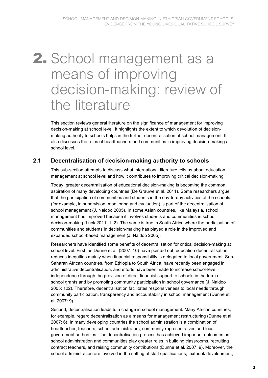# **2.** School management as a means of improving decision-making: review of the literature

This section reviews general literature on the significance of management for improving decision-making at school level. It highlights the extent to which devolution of decisionmaking authority to schools helps in the further decentralisation of school management. It also discusses the roles of headteachers and communities in improving decision-making at school level.

### **2.1 Decentralisation of decision-making authority to schools**

This sub-section attempts to discuss what international literature tells us about education management at school level and how it contributes to improving critical decision-making.

Today, greater decentralisation of educational decision-making is becoming the common aspiration of many developing countries (De Grauwe et al. 2011). Some researchers argue that the participation of communities and students in the day-to-day activities of the schools (for example, in supervision, monitoring and evaluation) is part of the decentralisation of school management (J. Naidoo 2005). In some Asian countries, like Malaysia, school management has improved because it involves students and communities in school decision-making (Luck 2011: 1–2). The same is true in South Africa where the participation of communities and students in decision-making has played a role in the improved and expanded school-based management (J. Naidoo 2005).

Researchers have identified some benefits of decentralisation for critical decision-making at school level. First, as Dunne et al. (2007: 10) have pointed out, education decentralisation reduces inequities mainly when financial responsibility is delegated to local government. Sub-Saharan African countries, from Ethiopia to South Africa, have recently been engaged in administrative decentralisation, and efforts have been made to increase school-level independence through the provision of direct financial support to schools in the form of school grants and by promoting community participation in school governance (J. Naidoo 2005: 122). Therefore, decentralisation facilitates responsiveness to local needs through community participation, transparency and accountability in school management (Dunne et al. 2007: 9).

Second, decentralisation leads to a change in school management. Many African countries, for example, regard decentralisation as a means for management restructuring (Dunne et al. 2007: 6). In many developing countries the school administration is a combination of headteacher, teachers, school administrators, community representatives and local government authorities. The decentralisation process has achieved important outcomes as school administration and communities play greater roles in building classrooms, recruiting contract teachers, and raising community contributions (Dunne et al. 2007: 9). Moreover, the school administration are involved in the setting of staff qualifications, textbook development,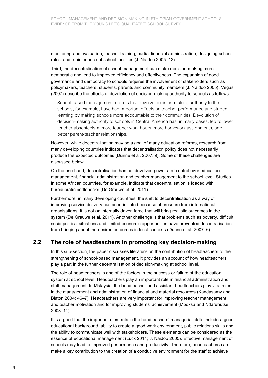monitoring and evaluation, teacher training, partial financial administration, designing school rules, and maintenance of school facilities (J. Naidoo 2005: 42).

Third, the decentralisation of school management can make decision-making more democratic and lead to improved efficiency and effectiveness. The expansion of good governance and democracy to schools requires the involvement of stakeholders such as policymakers, teachers, students, parents and community members (J. Naidoo 2005). Vegas (2007) describe the effects of devolution of decision-making authority to schools as follows:

School-based management reforms that devolve decision-making authority to the schools, for example, have had important effects on teacher performance and student learning by making schools more accountable to their communities. Devolution of decision-making authority to schools in Central America has, in many cases, led to lower teacher absenteeism, more teacher work hours, more homework assignments, and better parent-teacher relationships.

However, while decentralisation may be a goal of many education reforms, research from many developing countries indicates that decentralisation policy does not necessarily produce the expected outcomes (Dunne et al. 2007: 9). Some of these challenges are discussed below.

On the one hand, decentralisation has not devolved power and control over education management, financial administration and teacher management to the school level. Studies in some African countries, for example, indicate that decentralisation is loaded with bureaucratic bottlenecks (De Grauwe et al. 2011).

Furthermore, in many developing countries, the shift to decentralisation as a way of improving service delivery has been initiated because of pressure from international organisations. It is not an internally driven force that will bring realistic outcomes in the system (De Grauwe et al. 2011). Another challenge is that problems such as poverty, difficult socio-political situations and limited economic opportunities have prevented decentralisation from bringing about the desired outcomes in local contexts (Dunne et al. 2007: 6).

#### **2.2 The role of headteachers in promoting key decision-making**

In this sub-section, the paper discusses literature on the contribution of headteachers to the strengthening of school-based management. It provides an account of how headteachers play a part in the further decentralisation of decision-making at school level.

The role of headteachers is one of the factors in the success or failure of the education system at school level. Headteachers play an important role in financial administration and staff management. In Malaysia, the headteacher and assistant headteachers play vital roles in the management and administration of financial and material resources (Kandasamy and Blaton 2004: 46–7). Headteachers are very important for improving teacher management and teacher motivation and for improving students' achievement (Mpoksa and Ndaruhutse 2008: 11).

It is argued that the important elements in the headteachers' managerial skills include a good educational background, ability to create a good work environment, public relations skills and the ability to communicate well with stakeholders. These elements can be considered as the essence of educational management (Luck 2011; J. Naidoo 2005). Effective management of schools may lead to improved performance and productivity. Therefore, headteachers can make a key contribution to the creation of a conducive environment for the staff to achieve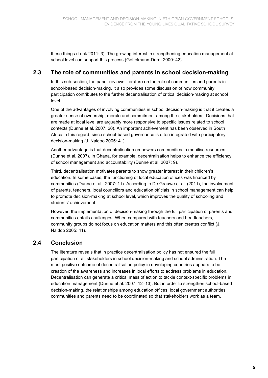these things (Luck 2011: 3). The growing interest in strengthening education management at school level can support this process (Gottelmann-Duret 2000: 42).

### **2.3 The role of communities and parents in school decision-making**

In this sub-section, the paper reviews literature on the role of communities and parents in school-based decision-making. It also provides some discussion of how community participation contributes to the further decentralisation of critical decision-making at school level.

One of the advantages of involving communities in school decision-making is that it creates a greater sense of ownership, morale and commitment among the stakeholders. Decisions that are made at local level are arguably more responsive to specific issues related to school contexts (Dunne et al. 2007: 20). An important achievement has been observed in South Africa in this regard, since school-based governance is often integrated with participatory decision-making (J. Naidoo 2005: 41).

Another advantage is that decentralisation empowers communities to mobilise resources (Dunne et al. 2007). In Ghana, for example, decentralisation helps to enhance the efficiency of school management and accountability (Dunne et al. 2007: 9).

Third, decentralisation motivates parents to show greater interest in their children's education. In some cases, the functioning of local education offices was financed by communities (Dunne et al. 2007: 11). According to De Grauwe et al. (2011), the involvement of parents, teachers, local councillors and education officials in school management can help to promote decision-making at school level, which improves the quality of schooling and students' achievement.

However, the implementation of decision-making through the full participation of parents and communities entails challenges. When compared with teachers and headteachers, community groups do not focus on education matters and this often creates conflict (J. Naidoo 2005: 41).

### **2.4 Conclusion**

The literature reveals that in practice decentralisation policy has not ensured the full participation of all stakeholders in school decision-making and school administration. The most positive outcome of decentralisation policy in developing countries appears to be creation of the awareness and increases in local efforts to address problems in education. Decentralisation can generate a critical mass of action to tackle context-specific problems in education management (Dunne et al. 2007: 12–13). But in order to strengthen school-based decision-making, the relationships among education offices, local government authorities, communities and parents need to be coordinated so that stakeholders work as a team.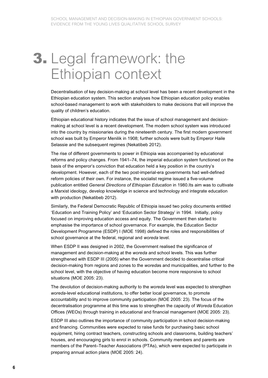# **3.** Legal framework: the Ethiopian context

Decentralisation of key decision-making at school level has been a recent development in the Ethiopian education system. This section analyses how Ethiopian education policy enables school-based management to work with stakeholders to make decisions that will improve the quality of children's education.

Ethiopian educational history indicates that the issue of school management and decisionmaking at school level is a recent development. The modern school system was introduced into the country by missionaries during the nineteenth century. The first modern government school was built by Emperor Menilik in 1908; further schools were built by Emperor Haile Selassie and the subsequent regimes (Nekatibeb 2012).

The rise of different governments to power in Ethiopia was accompanied by educational reforms and policy changes. From 1941–74, the imperial education system functioned on the basis of the emperor's conviction that education held a key position in the country's development. However, each of the two post-imperial-era governments had well-defined reform policies of their own. For instance, the socialist regime issued a five-volume publication entitled *General Directions of Ethiopian Education* in 1980.Its aim was to cultivate a Marxist ideology, develop knowledge in science and technology and integrate education with production (Nekatibeb 2012).

Similarly, the Federal Democratic Republic of Ethiopia issued two policy documents entitled 'Education and Training Policy' and 'Education Sector Strategy' in 1994. Initially, policy focused on improving education access and equity. The Government then started to emphasise the importance of school governance. For example, the Education Sector Development Programme (ESDP) I (MOE 1998) defined the roles and responsibilities of school governance at the federal, regional and *woreda* level.

When ESDP II was designed in 2002, the Government realised the significance of management and decision-making at the *woreda* and school levels. This was further strengthened with ESDP III (2005) when the Government decided to decentralise critical decision-making from regions and zones to the *woreda*s and municipalities, and further to the school level, with the objective of having education become more responsive to school situations (MOE 2005: 23).

The devolution of decision-making authority to the *woreda* level was expected to strengthen *woreda*-level educational institutions, to offer better local governance, to promote accountability and to improve community participation (MOE 2005: 23). The focus of the decentralisation programme at this time was to strengthen the capacity of *Woreda* Education Offices (WEOs) through training in educational and financial management (MOE 2005: 23).

ESDP III also outlines the importance of community participation in school decision-making and financing. Communities were expected to raise funds for purchasing basic school equipment, hiring contract teachers, constructing schools and classrooms, building teachers' houses, and encouraging girls to enrol in schools. Community members and parents are members of the Parent–Teacher Associations (PTAs), which were expected to participate in preparing annual action plans (MOE 2005: 24).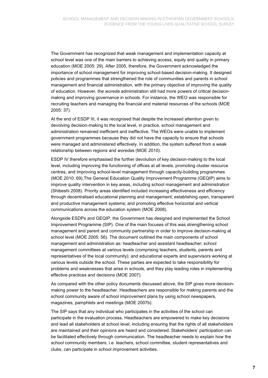The Government has recognized that weak management and implementation capacity at school level was one of the main barriers to achieving access, equity and quality in primary education (MOE 2005: 29). After 2005, therefore, the Government acknowledged the importance of school management for improving school-based decision-making. It designed policies and programmes that strengthened the role of communities and parents in school management and financial administration, with the primary objective of improving the quality of education. However, the *woreda* administration still had more powers of critical decisionmaking and improving governance in schools. For instance, the WEO was responsible for recruiting teachers and managing the financial and material resources of the schools (MOE 2005: 37).

At the end of ESDP III, it was recognised that despite the increased attention given to devolving decision-making to the local level, in practice, school management and administration remained inefficient and ineffective. The WEOs were unable to implement government programmes because they did not have the capacity to ensure that schools were managed and administered effectively. In addition, the system suffered from a weak relationship between regions and *woreda*s (MOE 2010).

ESDP IV therefore emphasised the further devolution of key decision-making to the local level, including improving the functioning of offices at all levels, promoting cluster resource centres, and improving school-level management through capacity-building programmes (MOE 2010: 69).The General Education Quality Improvement Programme (GEQIP) aims to improve quality intervention in key areas, including school management and administration (Shibeshi 2008). Priority areas identified included increasing effectiveness and efficiency through decentralised educational planning and management; establishing open, transparent and productive management systems; and promoting effective horizontal and vertical communications across the education system (MOE 2008).

Alongside ESDPs and GEQIP, the Government has designed and implemented the School Improvement Programme (SIP). One of the main focuses of this was strengthening school management and parent and community partnership in order to improve decision-making at school level (MOE 2005: 56). The document outlined the main components of school management and administration as: headteacher and assistant headteacher; school management committees at various levels (comprising teachers, students, parents and representatives of the local community); and educational experts and supervisors working at various levels outside the school. These parties are expected to take responsibility for problems and weaknesses that arise in schools, and they play leading roles in implementing effective practices and decisions (MOE 2007).

As compared with the other policy documents discussed above, the SIP gives more decisionmaking power to the headteacher. Headteachers are responsible for making parents and the school community aware of school improvement plans by using school newspapers, magazines, pamphlets and meetings (MOE 2007b).

The SIP says that any individual who participates in the activities of the school can participate in the evaluation process. Headteachers are empowered to make key decisions and lead all stakeholders at school level, including ensuring that the rights of all stakeholders are maintained and their opinions are heard and considered. Stakeholders' participation can be facilitated effectively through communication. The headteacher needs to explain how the school community members, i.e. teachers, school committee, student representatives and clubs, can participate in school improvement activities.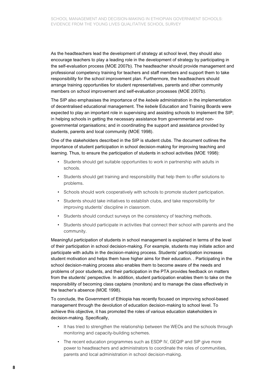As the headteachers lead the development of strategy at school level, they should also encourage teachers to play a leading role in the development of strategy by participating in the self-evaluation process (MOE 2007b). The headteacher should provide management and professional competency training for teachers and staff members and support them to take responsibility for the school improvement plan. Furthermore, the headteachers should arrange training opportunities for student representatives, parents and other community members on school improvement and self-evaluation processes (MOE 2007b).

The SIP also emphasises the importance of the *kebele* administration in the implementation of decentralised educational management. The *kebele* Education and Training Boards were expected to play an important role in supervising and assisting schools to implement the SIP; in helping schools in getting the necessary assistance from governmental and nongovernmental organisations; and in coordinating the support and assistance provided by students, parents and local community (MOE 1998).

One of the stakeholders described in the SIP is student clubs. The document outlines the importance of student participation in school decision-making for improving teaching and learning. Thus, to ensure the participation of students in school activities (MOE 1998):

- Students should get suitable opportunities to work in partnership with adults in schools.
- Students should get training and responsibility that help them to offer solutions to problems.
- Schools should work cooperatively with schools to promote student participation.
- Students should take initiatives to establish clubs, and take responsibility for improving students' discipline in classroom.
- Students should conduct surveys on the consistency of teaching methods.
- Students should participate in activities that connect their school with parents and the community.

Meaningful participation of students in school management is explained in terms of the level of their participation in school decision-making. For example, students may initiate action and participate with adults in the decision-making process. Students' participation increases student motivation and helps them have higher aims for their education. . Participating in the school decision-making process also enables them to become aware of the needs and problems of poor students, and their participation in the PTA provides feedback on matters from the students' perspective. In addition, student participation enables them to take on the responsibility of becoming class captains (monitors) and to manage the class effectively in the teacher's absence (MOE 1998).

To conclude, the Government of Ethiopia has recently focused on improving school-based management through the devolution of education decision-making to school level. To achieve this objective, it has promoted the roles of various education stakeholders in decision-making. Specifically,

- It has tried to strengthen the relationship between the WEOs and the schools through monitoring and capacity-building schemes.
- The recent education programmes such as ESDP IV, GEQIP and SIP give more power to headteachers and administrators to coordinate the roles of communities, parents and local administration in school decision-making.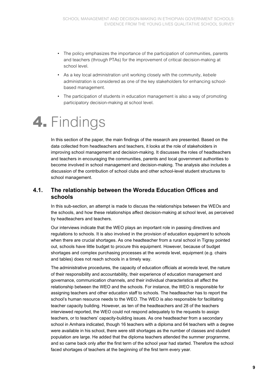- The policy emphasizes the importance of the participation of communities, parents and teachers (through PTAs) for the improvement of critical decision-making at school level.
- As a key local administration unit working closely with the community, *kebele* administration is considered as one of the key stakeholders for enhancing schoolbased management.
- The participation of students in education management is also a way of promoting participatory decision-making at school level.

# **4.** Findings

In this section of the paper, the main findings of the research are presented. Based on the data collected from headteachers and teachers, it looks at the role of stakeholders in improving school management and decision-making. It discusses the roles of headteachers and teachers in encouraging the communities, parents and local government authorities to become involved in school management and decision-making. The analysis also includes a discussion of the contribution of school clubs and other school-level student structures to school management.

#### **4.1. The relationship between the Woreda Education Offices and schools**

In this sub-section, an attempt is made to discuss the relationships between the WEOs and the schools, and how these relationships affect decision-making at school level, as perceived by headteachers and teachers.

Our interviews indicate that the WEO plays an important role in passing directives and regulations to schools. It is also involved in the provision of education equipment to schools when there are crucial shortages. As one headteacher from a rural school in Tigray pointed out, schools have little budget to procure this equipment. However, because of budget shortages and complex purchasing processes at the *woreda* level, equipment (e.g. chairs and tables) does not reach schools in a timely way.

The administrative procedures, the capacity of education officials at *woreda* level, the nature of their responsibility and accountability, their experience of education management and governance, communication channels, and their individual characteristics all affect the relationship between the WEO and the schools. For instance, the WEO is responsible for assigning teachers and other education staff to schools. The headteacher has to report the school's human resource needs to the WEO. The WEO is also responsible for facilitating teacher capacity building. However, as ten of the headteachers and 28 of the teachers interviewed reported, the WEO could not respond adequately to the requests to assign teachers, or to teachers' capacity-building issues. As one headteacher from a secondary school in Amhara indicated, though 16 teachers with a diploma and 64 teachers with a degree were available in his school, there were still shortages as the number of classes and student population are large. He added that the diploma teachers attended the summer programme, and so came back only after the first term of the school year had started. Therefore the school faced shortages of teachers at the beginning of the first term every year.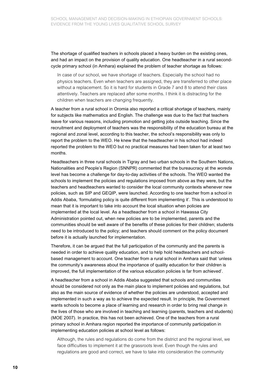The shortage of qualified teachers in schools placed a heavy burden on the existing ones, and had an impact on the provision of quality education. One headteacher in a rural secondcycle primary school (in Amhara) explained the problem of teacher shortage as follows:

In case of our school, we have shortage of teachers. Especially the school had no physics teachers. Even when teachers are assigned, they are transferred to other place without a replacement. So it is hard for students in Grade 7 and 8 to attend their class attentively. Teachers are replaced after some months. I think it is distracting for the children when teachers are changing frequently.

A teacher from a rural school in Oromia also reported a critical shortage of teachers, mainly for subjects like mathematics and English. The challenge was due to the fact that teachers leave for various reasons, including promotion and getting jobs outside teaching. Since the recruitment and deployment of teachers was the responsibility of the education bureau at the regional and zonal level, according to this teacher, the school's responsibility was only to report the problem to the WEO. He knew that the headteacher in his school had indeed reported the problem to the WEO but no practical measures had been taken for at least two months.

Headteachers in three rural schools in Tigray and two urban schools in the Southern Nations, Nationalities and People's Region (SNNPR) commented that the bureaucracy at the *woreda* level has become a challenge for day-to-day activities of the schools. The WEO wanted the schools to implement the policies and regulations imposed from above as they were, but the teachers and headteachers wanted to consider the local community contexts whenever new policies, such as SIP and GEQIP, were launched. According to one teacher from a school in Addis Ababa, 'formulating policy is quite different from implementing it'. This is understood to mean that it is important to take into account the local situation when policies are implemented at the local level. As a headteacher from a school in Hawassa City Administration pointed out, when new policies are to be implemented, parents and the communities should be well aware of the benefits of these policies for their children; students need to be introduced to the policy; and teachers should comment on the policy document before it is actually launched for implementation.

Therefore, it can be argued that the full participation of the community and the parents is needed in order to achieve quality education, and to help hold headteachers and schoolbased management to account. One teacher from a rural school in Amhara said that 'unless the community's awareness about the importance of quality education for their children is improved, the full implementation of the various education policies is far from achieved'.

A headteacher from a school in Addis Ababa suggested that schools and communities should be considered not only as the main place to implement policies and regulations, but also as the main source of evidence of whether the policies are understood, accepted and implemented in such a way as to achieve the expected result. In principle, the Government wants schools to become a place of learning and research in order to bring real change in the lives of those who are involved in teaching and learning (parents, teachers and students) (MOE 2007). In practice, this has not been achieved. One of the teachers from a rural primary school in Amhara region reported the importance of community participation in implementing education policies at school level as follows:

Although, the rules and regulations do come from the district and the regional level, we face difficulties to implement it at the grassroots level. Even though the rules and regulations are good and correct, we have to take into consideration the community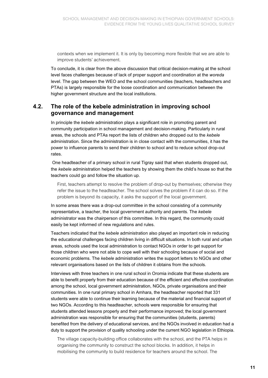contexts when we implement it. It is only by becoming more flexible that we are able to improve students' achievement.

To conclude, it is clear from the above discussion that critical decision-making at the school level faces challenges because of lack of proper support and coordination at the *woreda* level. The gap between the WEO and the school communities (teachers, headteachers and PTAs) is largely responsible for the loose coordination and communication between the higher government structure and the local institutions.

#### **4.2. The role of the kebele administration in improving school governance and management**

In principle the *kebele* administration plays a significant role in promoting parent and community participation in school management and decision-making. Particularly in rural areas, the schools and PTAs report the lists of children who dropped out to the *kebele* administration. Since the administration is in close contact with the communities, it has the power to influence parents to send their children to school and to reduce school drop-out rates.

 One headteacher of a primary school in rural Tigray said that when students dropped out, the *kebele* administration helped the teachers by showing them the child's house so that the teachers could go and follow the situation up.

First, teachers attempt to resolve the problem of drop-out by themselves; otherwise they refer the issue to the headteacher. The school solves the problem if it can do so. If the problem is beyond its capacity, it asks the support of the local government.

In some areas there was a drop-out committee in the school consisting of a community representative, a teacher, the local government authority and parents. The *kebele* administrator was the chairperson of this committee. In this regard, the community could easily be kept informed of new regulations and rules.

Teachers indicated that the *kebele* administration also played an important role in reducing the educational challenges facing children living in difficult situations. In both rural and urban areas, schools used the local administration to contact NGOs in order to get support for those children who were not able to cope well with their schooling because of social and economic problems. The *kebele* administration writes the support letters to NGOs and other relevant organisations based on the lists of children it obtains from the schools.

Interviews with three teachers in one rural school in Oromia indicate that these students are able to benefit properly from their education because of the efficient and effective coordination among the school, local government administration, NGOs, private organisations and their communities. In one rural primary school in Amhara, the headteacher reported that 331 students were able to continue their learning because of the material and financial support of two NGOs. According to this headteacher, schools were responsible for ensuring that students attended lessons properly and their performance improved; the local government administration was responsible for ensuring that the communities (students, parents) benefited from the delivery of educational services, and the NGOs involved in education had a duty to support the provision of quality schooling under the current NGO legislation in Ethiopia.

The village capacity-building office collaborates with the school, and the PTA helps in organising the community to construct the school blocks. In addition, it helps in mobilising the community to build residence for teachers around the school. The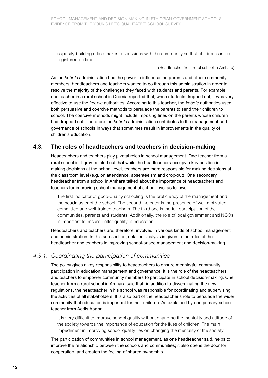capacity-building office makes discussions with the community so that children can be registered on time.

(Headteacher from rural school in Amhara)

As the *kebele* administration had the power to influence the parents and other community members, headteachers and teachers wanted to go through this administration in order to resolve the majority of the challenges they faced with students and parents. For example, one teacher in a rural school in Oromia reported that, when students dropped out, it was very effective to use the *kebele* authorities. According to this teacher, the *kebele* authorities used both persuasive and coercive methods to persuade the parents to send their children to school. The coercive methods might include imposing fines on the parents whose children had dropped out. Therefore the *kebele* administration contributes to the management and governance of schools in ways that sometimes result in improvements in the quality of children's education.

### **4.3. The roles of headteachers and teachers in decision-making**

Headteachers and teachers play pivotal roles in school management. One teacher from a rural school in Tigray pointed out that while the headteachers occupy a key position in making decisions at the school level, teachers are more responsible for making decisions at the classroom level (e.g. on attendance, absenteeism and drop-out). One secondary headteacher from a school in Amhara talked about the importance of headteachers and teachers for improving school management at school level as follows:

The first indicator of good-quality schooling is the proficiency of the management and the headmaster of the school. The second indicator is the presence of well-motivated, committed and well-trained teachers. The third one is the full participation of the communities, parents and students. Additionally, the role of local government and NGOs is important to ensure better quality of education.

Headteachers and teachers are, therefore, involved in various kinds of school management and administration. In this sub-section, detailed analysis is given to the roles of the headteacher and teachers in improving school-based management and decision-making.

#### *4.3.1. Coordinating the participation of communities*

The policy gives a key responsibility to headteachers to ensure meaningful community participation in education management and governance. It is the role of the headteachers and teachers to empower community members to participate in school decision-making. One teacher from a rural school in Amhara said that, in addition to disseminating the new regulations, the headteacher in his school was responsible for coordinating and supervising the activities of all stakeholders. It is also part of the headteacher's role to persuade the wider community that education is important for their children. As explained by one primary school teacher from Addis Ababa:

It is very difficult to improve school quality without changing the mentality and attitude of the society towards the importance of education for the lives of children. The main impediment in improving school quality lies on changing the mentality of the society.

The participation of communities in school management, as one headteacher said, helps to improve the relationship between the schools and communities; it also opens the door for cooperation, and creates the feeling of shared ownership.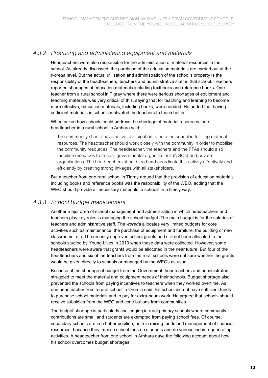#### *4.3.2. Procuring and administering equipment and materials*

Headteachers were also responsible for the administration of material resources in the school. As already discussed, the purchase of the education materials are carried out at the *woreda* level. But the actual utilisation and administration of the school's property is the responsibility of the headteachers, teachers and administrative staff in that school. Teachers reported shortages of education materials including textbooks and reference books. One teacher from a rural school in Tigray where there were serious shortages of equipment and teaching materials was very critical of this, saying that for teaching and learning to become more effective, education materials, including books, were needed. He added that having sufficient materials in schools motivated the teachers to teach better.

When asked how schools could address the shortage of material resources, one headteacher in a rural school in Amhara said:

The community should have active participation to help the school in fulfilling material resources. The headteacher should work closely with the community in order to mobilise the community resources. The headteacher, the teachers and the PTAs should also mobilise resources from non- governmental organisations (NGOs) and private organisations. The headteachers should lead and coordinate this activity effectively and efficiently by creating strong linkages with all stakeholders.

But a teacher from one rural school in Tigray argued that the provision of education materials including books and reference books was the responsibility of the WEO, adding that the WEO should provide all necessary materials to schools in a timely way.

#### *4.3.3. School budget management*

Another major area of school management and administration in which headteachers and teachers play key roles is managing the school budget. The main budget is for the salaries of teachers and administrative staff. The *woreda* allocates very limited budgets for core activities such as maintenance, the purchase of equipment and furniture, the building of new classrooms, etc. The recently approved school grants had still not been allocated to the schools studied by Young Lives in 2010 when these data were collected. However, some headteachers were aware that grants would be allocated in the near future. But four of the headteachers and six of the teachers from the rural schools were not sure whether the grants would be given directly to schools or managed by the WEOs as usual.

Because of the shortage of budget from the Government, headteachers and administrators struggled to meet the material and equipment needs of their schools. Budget shortage also prevented the schools from paying incentives to teachers when they worked overtime. As one headteacher from a rural school in Oromia said, his school did not have sufficient funds to purchase school materials and to pay for extra-hours work. He argued that schools should receive subsidies from the WEO and contributions from communities.

The budget shortage is particularly challenging in rural primary schools where community contributions are small and students are exempted from paying school fees. Of course, secondary schools are in a better position, both in raising funds and management of financial resources, because they impose school fees on students and do various income-generating activities. A headteacher from one school in Amhara gave the following account about how his school overcomes budget shortages: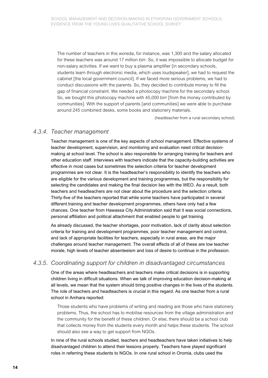The number of teachers in this woreda, for instance, was 1,300 and the salary allocated for these teachers was around 17 million birr. So, it was impossible to allocate budget for non-salary activities. If we want to buy a plasma amplifier [in secondary schools, students learn through electronic media, which uses loudspeaker], we had to request the cabinet [the local government council]. If we faced more serious problems, we had to conduct discussions with the parents. So, they decided to contribute money to fill the gap of financial constraint. We needed a photocopy machine for the secondary school. So, we bought this photocopy machine with 45,000 birr [from the money contributed by communities]. With the support of parents [and communities] we were able to purchase around 245 combined desks, some books and stationery materials.

(headteacher from a rural secondary school)

#### *4.3.4. Teacher management*

Teacher management is one of the key aspects of school management. Effective systems of teacher development, supervision, and monitoring and evaluation need critical decisionmaking at school level. The school is also responsible for arranging training for teachers and other education staff. Interviews with teachers indicate that the capacity-building activities are effective in most cases but sometimes the selection criteria for teacher development programmes are not clear. It is the headteacher's responsibility to identify the teachers who are eligible for the various development and training programmes, but the responsibility for selecting the candidates and making the final decision lies with the WEO. As a result, both teachers and headteachers are not clear about the procedure and the selection criteria. Thirty-five of the teachers reported that while some teachers have participated in several different training and teacher development programmes, others have only had a few chances. One teacher from Hawassa City Administration said that it was social connections, personal affiliation and political attachment that enabled people to get training.

As already discussed, the teacher shortages, poor motivation, lack of clarity about selection criteria for training and development programmes, poor teacher management and control, and lack of appropriate facilities for teachers, especially in rural areas, are the major challenges around teacher management. The overall effects of all of these are low teacher morale, high levels of teacher absenteeism and loss of desire to continue in the profession.

#### *4.3.5. Coordinating support for children in disadvantaged circumstances*

One of the areas where headteachers and teachers make critical decisions is in supporting children living in difficult situations. When we talk of improving education decision-making at all levels, we mean that the system should bring positive changes in the lives of the students. The role of teachers and headteachers is crucial in this regard. As one teacher from a rural school in Amhara reported:

Those students who have problems of writing and reading are those who have stationery problems. Thus, the school has to mobilise resources from the village administration and the community for the benefit of these children. Or else, there should be a school club that collects money from the students every month and helps these students. The school should also see a way to get support from NGOs.

In nine of the rural schools studied, teachers and headteachers have taken initiatives to help disadvantaged children to attend their lessons properly. Teachers have played significant roles in referring these students to NGOs. In one rural school in Oromia, clubs used the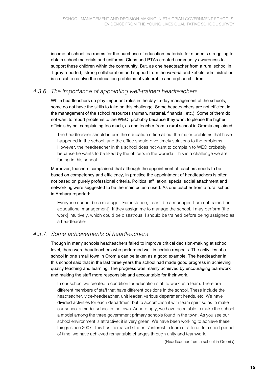income of school tea rooms for the purchase of education materials for students struggling to obtain school materials and uniforms. Clubs and PTAs created community awareness to support these children within the community. But, as one headteacher from a rural school in Tigray reported, 'strong collaboration and support from the *woreda* and kebele administration is crucial to resolve the education problems of vulnerable and orphan children'.

#### *4.3.6 The importance of appointing well-trained headteachers*

While headteachers do play important roles in the day-to-day management of the schools, some do not have the skills to take on this challenge. Some headteachers are not efficient in the management of the school resources (human, material, financial, etc.). Some of them do not want to report problems to the WEO, probably because they want to please the higher officials by not complaining too much, as one teacher from a rural school in Oromia explained:

The headteacher should inform the education office about the major problems that have happened in the school, and the office should give timely solutions to the problems. However, the headteacher in this school does not want to complain to WEO probably because he wants to be liked by the officers in the woreda. This is a challenge we are facing in this school.

Moreover, teachers complained that although the appointment of teachers needs to be based on competency and efficiency, in practice the appointment of headteachers is often not based on purely professional criteria. Political affiliation, special social attachment and networking were suggested to be the main criteria used. As one teacher from a rural school in Amhara reported:

Everyone cannot be a manager. For instance, I can't be a manager. I am not trained [in educational management]. If they assign me to manage the school, I may perform [the work] intuitively, which could be disastrous. I should be trained before being assigned as a headteacher.

### *4.3.7. Some achievements of headteachers*

Though in many schools headteachers failed to improve critical decision-making at school level, there were headteachers who performed well in certain respects. The activities of a school in one small town in Oromia can be taken as a good example. The headteacher in this school said that in the last three years the school had made good progress in achieving quality teaching and learning. The progress was mainly achieved by encouraging teamwork and making the staff more responsible and accountable for their work.

In our school we created a condition for education staff to work as a team. There are different members of staff that have different positions in the school. These include the headteacher, vice-headteacher, unit leader, various department heads, etc. We have divided activities for each department but to accomplish it with team spirit so as to make our school a model school in the town. Accordingly, we have been able to make the school a model among the three government primary schools found in the town. As you see our school environment is attractive; it is very green. We have been working to achieve these things since 2007. This has increased students' interest to learn or attend. In a short period of time, we have achieved remarkable changes through unity and teamwork.

(Headteacher from a school in Oromia)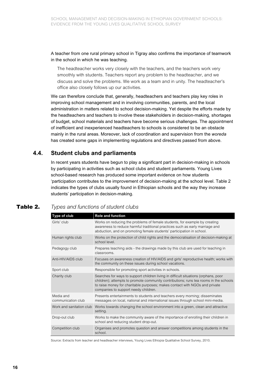A teacher from one rural primary school in Tigray also confirms the importance of teamwork in the school in which he was teaching.

The headteacher works very closely with the teachers, and the teachers work very smoothly with students. Teachers report any problem to the headteacher, and we discuss and solve the problems. We work as a team and in unity. The headteacher's office also closely follows up our activities.

We can therefore conclude that, generally, headteachers and teachers play key roles in improving school management and in involving communities, parents, and the local administration in matters related to school decision-making. Yet despite the efforts made by the headteachers and teachers to involve these stakeholders in decision-making, shortages of budget, school materials and teachers have become serious challenges. The appointment of inefficient and inexperienced headteachers to schools is considered to be an obstacle mainly in the rural areas. Moreover, lack of coordination and supervision from the *woreda*  has created some gaps in implementing regulations and directives passed from above.

#### **4.4. Student clubs and parliaments**

In recent years students have begun to play a significant part in decision-making in schools by participating in activities such as school clubs and student parliaments. Young Lives school-based research has produced some important evidence on how students 'participation contributes to the improvement of decision-making at the school level. Table 2 indicates the types of clubs usually found in Ethiopian schools and the way they increase students' participation in decision-making.

#### **Table 2.** *Types and functions of student clubs*

| Type of club                    | <b>Role and function</b>                                                                                                                                                                                                                                                                            |
|---------------------------------|-----------------------------------------------------------------------------------------------------------------------------------------------------------------------------------------------------------------------------------------------------------------------------------------------------|
| Girls' club                     | Works on reducing the problems of female students, for example by creating<br>awareness to reduce harmful traditional practices such as early marriage and<br>abduction, and on promoting female students' participation in school.                                                                 |
| Human rights club               | Works on the protection of child rights and the democratisation of decision-making at<br>school level.                                                                                                                                                                                              |
| Pedagogy club                   | Prepares teaching aids - the drawings made by this club are used for teaching in<br>classrooms.                                                                                                                                                                                                     |
| Anti-HIV/AIDS club              | Focuses on awareness creation of HIV/AIDS and girls' reproductive health; works with<br>the community on these issues during school vacations.                                                                                                                                                      |
| Sport club                      | Responsible for promoting sport activities in schools.                                                                                                                                                                                                                                              |
| Charity club                    | Searches for ways to support children living in difficult situations (orphans, poor<br>children); attempts to promote community contributions; runs tea rooms in the schools<br>to raise money for charitable purposes; makes contact with NGOs and private<br>companies to support needy children. |
| Media and<br>communication club | Presents entertainments to students and teachers every morning; disseminates<br>messages on local, national and international issues through school mini-media.                                                                                                                                     |
| Work and sanitation club        | Works towards changing the school environment into a green, clean and attractive<br>setting.                                                                                                                                                                                                        |
| Drop-out club                   | Works to make the community aware of the importance of enrolling their children in<br>school and reducing student drop-out.                                                                                                                                                                         |
| Competition club                | Organises and promotes question and answer competitions among students in the<br>school.                                                                                                                                                                                                            |

Source: Extracts from teacher and headteacher interviews, Young Lives Ethiopia Qualitative School Survey, 2010.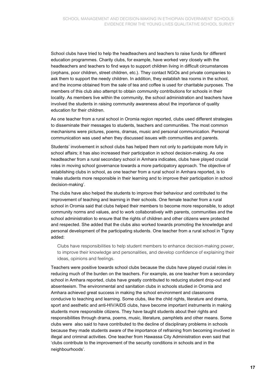School clubs have tried to help the headteachers and teachers to raise funds for different education programmes. Charity clubs, for example, have worked very closely with the headteachers and teachers to find ways to support children living in difficult circumstances (orphans, poor children, street children, etc.). They contact NGOs and private companies to ask them to support the needy children. In addition, they establish tea rooms in the school, and the income obtained from the sale of tea and coffee is used for charitable purposes. The members of this club also attempt to obtain community contributions for schools in their locality. As members live within the community, the school administration and teachers have involved the students in raising community awareness about the importance of quality education for their children.

As one teacher from a rural school in Oromia region reported, clubs used different strategies to disseminate their messages to students, teachers and communities. The most common mechanisms were pictures, poems, dramas, music and personal communication. Personal communication was used when they discussed issues with communities and parents.

Students' involvement in school clubs has helped them not only to participate more fully in school affairs; it has also increased their participation in school decision-making. As one headteacher from a rural secondary school in Amhara indicates, clubs have played crucial roles in moving school governance towards a more participatory approach. The objective of establishing clubs in school, as one teacher from a rural school in Amhara reported, is to 'make students more responsible in their learning and to improve their participation in school decision-making'.

The clubs have also helped the students to improve their behaviour and contributed to the improvement of teaching and learning in their schools. One female teacher from a rural school in Oromia said that clubs helped their members to become more responsible, to adopt community norms and values, and to work collaboratively with parents, communities and the school administration to ensure that the rights of children and other citizens were protected and respected. She added that the clubs also worked towards promoting the knowledge and personal development of the participating students. One teacher from a rural school in Tigray added:

Clubs have responsibilities to help student members to enhance decision-making power, to improve their knowledge and personalities, and develop confidence of explaining their ideas, opinions and feelings.

Teachers were positive towards school clubs because the clubs have played crucial roles in reducing much of the burden on the teachers. For example, as one teacher from a secondary school in Amhara reported, clubs have greatly contributed to reducing student drop-out and absenteeism. The environmental and sanitation clubs in schools studied in Oromia and Amhara achieved great success in making the school environment and classrooms conducive to teaching and learning. Some clubs, like the child rights, literature and drama, sport and aesthetic and anti-HIV/AIDS clubs, have become important instruments in making students more responsible citizens. They have taught students about their rights and responsibilities through drama, poems, music, literature, pamphlets and other means. Some clubs were also said to have contributed to the decline of disciplinary problems in schools because they made students aware of the importance of refraining from becoming involved in illegal and criminal activities. One teacher from Hawassa City Administration even said that 'clubs contribute to the improvement of the security conditions in schools and in the neighbourhoods'.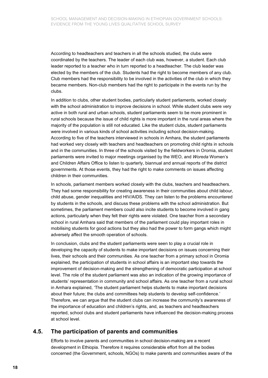According to headteachers and teachers in all the schools studied, the clubs were coordinated by the teachers. The leader of each club was, however, a student. Each club leader reported to a teacher who in turn reported to a headteacher. The club leader was elected by the members of the club. Students had the right to become members of any club. Club members had the responsibility to be involved in the activities of the club in which they became members. Non-club members had the right to participate in the events run by the clubs.

In addition to clubs, other student bodies, particularly student parliaments, worked closely with the school administration to improve decisions in school. While student clubs were very active in both rural and urban schools, student parliaments seem to be more prominent in rural schools because the issue of child rights is more important in the rural areas where the majority of the population is still not educated. Like the student clubs, student parliaments were involved in various kinds of school activities including school decision-making. According to five of the teachers interviewed in schools in Amhara, the student parliaments had worked very closely with teachers and headteachers on promoting child rights in schools and in the communities. In three of the schools visited by the fieldworkers in Oromia, student parliaments were invited to major meetings organised by the WEO, and *Woreda* Women's and Children Affairs Office to listen to quarterly, biannual and annual reports of the district governments. At those events, they had the right to make comments on issues affecting children in their communities.

In schools, parliament members worked closely with the clubs, teachers and headteachers. They had some responsibility for creating awareness in their communities about child labour, child abuse, gender inequalities and HIV/AIDS. They can listen to the problems encountered by students in the schools, and discuss these problems with the school administration. But sometimes, the parliament members could also incite students to become involved in gang actions, particularly when they felt their rights were violated. One teacher from a secondary school in rural Amhara said that members of the parliament could play important roles in mobilising students for good actions but they also had the power to form gangs which might adversely affect the smooth operation of schools.

In conclusion, clubs and the student parliaments were seen to play a crucial role in developing the capacity of students to make important decisions on issues concerning their lives, their schools and their communities. As one teacher from a primary school in Oromia explained, the participation of students in school affairs is an important step towards the improvement of decision-making and the strengthening of democratic participation at school level. The role of the student parliament was also an indication of the growing importance of students' representation in community and school affairs. As one teacher from a rural school in Amhara explained, 'The student parliament helps students to make important decisions about their future; the clubs and committees help students to develop self-confidence.' Therefore, we can argue that the student clubs can increase the community's awareness of the importance of education and children's rights, and, as teachers and headteachers reported, school clubs and student parliaments have influenced the decision-making process at school level.

#### **4.5. The participation of parents and communities**

Efforts to involve parents and communities in school decision-making are a recent development in Ethiopia. Therefore it requires considerable effort from all the bodies concerned (the Government, schools, NGOs) to make parents and communities aware of the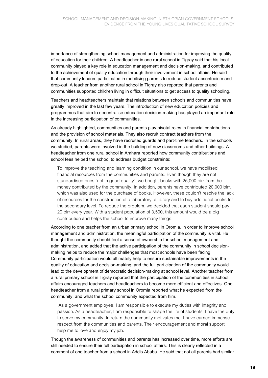importance of strengthening school management and administration for improving the quality of education for their children. A headteacher in one rural school in Tigray said that his local community played a key role in education management and decision-making, and contributed to the achievement of quality education through their involvement in school affairs. He said that community leaders participated in mobilising parents to reduce student absenteeism and drop-out. A teacher from another rural school in Tigray also reported that parents and communities supported children living in difficult situations to get access to quality schooling.

Teachers and headteachers maintain that relations between schools and communities have greatly improved in the last few years. The introduction of new education policies and programmes that aim to decentralise education decision-making has played an important role in the increasing participation of communities.

As already highlighted, communities and parents play pivotal roles in financial contributions and the provision of school materials. They also recruit contract teachers from the community. In rural areas, they have recruited guards and part-time teachers. In the schools we studied, parents were involved in the building of new classrooms and other buildings. A headteacher from one rural school in Amhara reported how community contributions and school fees helped the school to address budget constraints:

To improve the teaching and learning condition in our school, we have mobilised financial resources from the communities and parents. Even though they are not standardised ones [not in good quality], we bought books with 25,000 birr from the money contributed by the community. In addition, parents have contributed 20,000 birr, which was also used for the purchase of books. However, these couldn't resolve the lack of resources for the construction of a laboratory, a library and to buy additional books for the secondary level. To reduce the problem, we decided that each student should pay 20 birr every year. With a student population of 3,500, this amount would be a big contribution and helps the school to improve many things.

According to one teacher from an urban primary school in Oromia, in order to improve school management and administration, the meaningful participation of the community is vital. He thought the community should feel a sense of ownership for school management and administration, and added that the active participation of the community in school decisionmaking helps to reduce the major challenges that most schools have been facing. Community participation would ultimately help to ensure sustainable improvements in the quality of education and decision-making, and the full participation of the community would lead to the development of democratic decision-making at school level. Another teacher from a rural primary school in Tigray reported that the participation of the communities in school affairs encouraged teachers and headteachers to become more efficient and effectives. One headteacher from a rural primary school in Oromia reported what he expected from the community, and what the school community expected from him*:*

 As a government employee, I am responsible to execute my duties with integrity and passion. As a headteacher, I am responsible to shape the life of students. I have the duty to serve my community. In return the community motivates me. I have earned immense respect from the communities and parents. Their encouragement and moral support help me to love and enjoy my job.

Though the awareness of communities and parents has increased over time, more efforts are still needed to ensure their full participation in school affairs. This is clearly reflected in a comment of one teacher from a school in Addis Ababa. He said that not all parents had similar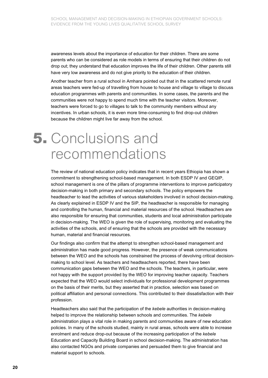awareness levels about the importance of education for their children. There are some parents who can be considered as role models in terms of ensuring that their children do not drop out; they understand that education improves the life of their children. Other parents still have very low awareness and do not give priority to the education of their children.

Another teacher from a rural school in Amhara pointed out that in the scattered remote rural areas teachers were fed-up of travelling from house to house and village to village to discuss education programmes with parents and communities. In some cases, the parents and the communities were not happy to spend much time with the teacher visitors. Moreover, teachers were forced to go to villages to talk to the community members without any incentives. In urban schools, it is even more time-consuming to find drop-out children because the children might live far away from the school.

### **5.** Conclusions and recommendations

The review of national education policy indicates that in recent years Ethiopia has shown a commitment to strengthening school-based management. In both ESDP IV and GEQIP, school management is one of the pillars of programme interventions to improve participatory decision-making in both primary and secondary schools. The policy empowers the headteacher to lead the activities of various stakeholders involved in school decision-making. As clearly explained in ESDP IV and the SIP, the headteacher is responsible for managing and controlling the human, financial and material resources of the school. Headteachers are also responsible for ensuring that communities, students and local administration participate in decision-making. The WEO is given the role of supervising, monitoring and evaluating the activities of the schools, and of ensuring that the schools are provided with the necessary human, material and financial resources.

Our findings also confirm that the attempt to strengthen school-based management and administration has made good progress. However, the presence of weak communications between the WEO and the schools has constrained the process of devolving critical decisionmaking to school level. As teachers and headteachers reported, there have been communication gaps between the WEO and the schools. The teachers, in particular, were not happy with the support provided by the WEO for improving teacher capacity. Teachers expected that the WEO would select individuals for professional development programmes on the basis of their merits, but they asserted that in practice, selection was based on political affiliation and personal connections. This contributed to their dissatisfaction with their profession.

Headteachers also said that the participation of the *kebele* authorities in decision-making helped to improve the relationship between schools and communities. The *kebele* administration plays a vital role in making parents and communities aware of new education policies. In many of the schools studied, mainly in rural areas, schools were able to increase enrolment and reduce drop-out because of the increasing participation of the *kebele*  Education and Capacity Building Board in school decision-making. The administration has also contacted NGOs and private companies and persuaded them to give financial and material support to schools.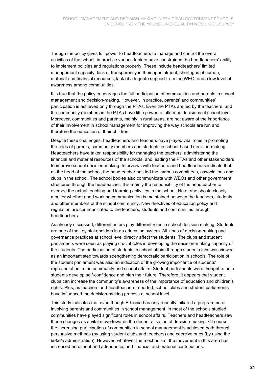Though the policy gives full power to headteachers to manage and control the overall activities of the school, in practice various factors have constrained the headteachers' ability to implement policies and regulations properly. These include headteachers' limited management capacity, lack of transparency in their appointment, shortages of human, material and financial resources, lack of adequate support from the WEO, and a low level of awareness among communities.

It is true that the policy encourages the full participation of communities and parents in school management and decision-making. However, in practice, parents' and communities' participation is achieved only through the PTAs. Even the PTAs are led by the teachers, and the community members in the PTAs have little power to influence decisions at school level. Moreover, communities and parents, mainly in rural areas, are not aware of the importance of their involvement in school management for improving the way schools are run and therefore the education of their children.

Despite these challenges, headteachers and teachers have played vital roles in promoting the roles of parents, community members and students in school-based decision-making. Headteachers have taken responsibility for managing the teachers, administering the financial and material resources of the schools, and leading the PTAs and other stakeholders to improve school decision-making. Interviews with teachers and headteachers indicate that as the head of the school, the headteacher has led the various committees, associations and clubs in the school. The school bodies also communicate with WEOs and other government structures through the headteacher. It is mainly the responsibility of the headteacher to oversee the actual teaching and learning activities in the school. He or she should closely monitor whether good working communication is maintained between the teachers, students and other members of the school community. New directives of education policy and regulation are communicated to the teachers, students and communities through headteachers.

As already discussed, different actors play different roles in school decision making. Students are one of the key stakeholders in an education system. All kinds of decision-making and governance practices at school level directly affect the students. The clubs and student parliaments were seen as playing crucial roles in developing the decision-making capacity of the students. The participation of students in school affairs through student clubs was viewed as an important step towards strengthening democratic participation in schools. The role of the student parliament was also an indication of the growing importance of students' representation in the community and school affairs. Student parliaments were thought to help students develop self-confidence and plan their future. Therefore, it appears that student clubs can increase the community's awareness of the importance of education and children's rights. Plus, as teachers and headteachers reported, school clubs and student parliaments have influenced the decision-making process at school level.

This study indicates that even though Ethiopia has only recently initiated a programme of involving parents and communities in school management, in most of the schools studied, communities have played significant roles in school affairs. Teachers and headteachers saw these changes as a vital move towards the decentralisation of decision-making. Of course, the increasing participation of communities in school management is achieved both through persuasive methods (by using student clubs and teachers) and coercive ones (by using the *kebele* administration). However, whatever the mechanism, the movement in this area has increased enrolment and attendance, and financial and material contributions.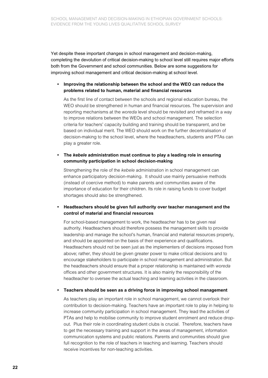Yet despite these important changes in school management and decision-making, completing the devolution of critical decision-making to school level still requires major efforts both from the Government and school communities. Below are some suggestions for improving school management and critical decision-making at school level.

#### **• Improving the relationship between the school and the WEO can reduce the problems related to human, material and financial resources**

 As the first line of contact between the schools and regional education bureau, the WEO should be strengthened in human and financial resources. The supervision and reporting mechanisms at the *woreda* level should be revisited and reframed in a way to improve relations between the WEOs and school management. The selection criteria for teachers' capacity building and training should be transparent, and be based on individual merit. The WEO should work on the further decentralisation of decision-making to the school level, where the headteachers, students and PTAs can play a greater role.

#### **• The** *kebele* **administration must continue to play a leading role in ensuring community participation in school decision-making**

 Strengthening the role of the *kebele* administration in school management can enhance participatory decision-making. It should use mainly persuasive methods (instead of coercive method) to make parents and communities aware of the importance of education for their children. Its role in raising funds to cover budget shortages should also be strengthened.

#### **• Headteachers should be given full authority over teacher management and the control of material and financial resources**

 For school-based management to work, the headteacher has to be given real authority. Headteachers should therefore possess the management skills to provide leadership and manage the school's human, financial and material resources properly, and should be appointed on the basis of their experience and qualifications. Headteachers should not be seen just as the implementers of decisions imposed from above; rather, they should be given greater power to make critical decisions and to encourage stakeholders to participate in school management and administration. But the headteachers should ensure that a proper relationship is maintained with *woreda* offices and other government structures. It is also mainly the responsibility of the headteacher to oversee the actual teaching and learning activities in the classroom.

#### **• Teachers should be seen as a driving force in improving school management**

 As teachers play an important role in school management, we cannot overlook their contribution to decision-making. Teachers have an important role to play in helping to increase community participation in school management. They lead the activities of PTAs and help to mobilise community to improve student enrolment and reduce dropout. Plus their role in coordinating student clubs is crucial. Therefore, teachers have to get the necessary training and support in the areas of management, information communication systems and public relations. Parents and communities should give full recognition to the role of teachers in teaching and learning. Teachers should receive incentives for non-teaching activities.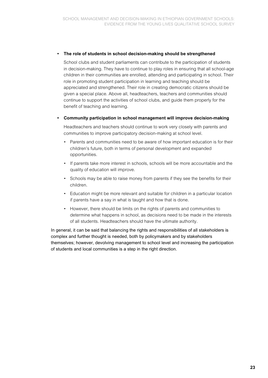#### **• The role of students in school decision-making should be strengthened**

 School clubs and student parliaments can contribute to the participation of students in decision-making. They have to continue to play roles in ensuring that all school-age children in their communities are enrolled, attending and participating in school. Their role in promoting student participation in learning and teaching should be appreciated and strengthened. Their role in creating democratic citizens should be given a special place. Above all, headteachers, teachers and communities should continue to support the activities of school clubs, and guide them properly for the benefit of teaching and learning.

#### **• Community participation in school management will improve decision-making**

 Headteachers and teachers should continue to work very closely with parents and communities to improve participatory decision-making at school level.

- Parents and communities need to be aware of how important education is for their children's future, both in terms of personal development and expanded opportunities.
- If parents take more interest in schools, schools will be more accountable and the quality of education will improve.
- Schools may be able to raise money from parents if they see the benefits for their children.
- Education might be more relevant and suitable for children in a particular location if parents have a say in what is taught and how that is done.
- However, there should be limits on the rights of parents and communities to determine what happens in school, as decisions need to be made in the interests of all students. Headteachers should have the ultimate authority.

In general, it can be said that balancing the rights and responsibilities of all stakeholders is complex and further thought is needed, both by policymakers and by stakeholders themselves; however, devolving management to school level and increasing the participation of students and local communities is a step in the right direction.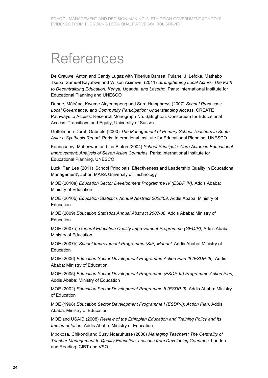# References

De Grauwe, Anton and Candy Lugaz with Tiberius Barasa, Pulane J. Lefoka, Mathabo Tsepa, Samuel Kayabwe and Wilson Asiimwe (2011) *Strengthening Local Actors: The Path to Decentralizing Education, Kenya, Uganda, and Lesotho,* Paris: International Institute for Educational Planning and UNESCO

Dunne, Máiréad, Kwame Akyeampong and Sara Humphreys (2007) *School Processes, Local Governance, and Community Participation: Understanding Access*, CREATE Pathways to Access: Research Monograph No. 6,Brighton: Consortium for Educational Access, Transitions and Equity, University of Sussex

Gottelmann-Duret, Gabriele (2000) *The Management of Primary School Teachers in South Asia: a Synthesis Report,* Paris: International Institute for Educational Planning, UNESCO

Kandasamy, Maheswari and Lia Blaton (2004) *School Principals: Core Actors in Educational Improvement: Analysis of Seven Asian Countries*, Paris: International Institute for Educational Planning, UNESCO

Luck, Tan Lee (2011) 'School Principals' Effectiveness and Leadership Quality in Educational Management', Johor: MARA University of Technology

MOE (2010a) *Education Sector Development Programme IV (ESDP IV)*, Addis Ababa: Ministry of Education

MOE (2010b) *Education Statistics Annual Abstract 2008/09*, Addis Ababa: Ministry of Education

MOE (2009) *Education Statistics Annual Abstract 2007/08*, Addis Ababa: Ministry of Education

MOE (2007a) *General Education Quality Improvement Programme (GEQIP)*, Addis Ababa: Ministry of Education

MOE (2007b) *School Improvement Programme (SIP) Manual*, Addis Ababa: Ministry of Education

MOE (2006) *Education Sector Development Programme Action Plan III (ESDP-III)*, Addis Ababa: Ministry of Education

MOE (2005) *Education Sector Development Programme (ESDP-III) Programme Action Plan,* Addis Ababa: Ministry of Education

MOE (2002) *Education Sector Development Programme II (ESDP-II)*, Addis Ababa: Ministry of Education

MOE (1998) *Education Sector Development Programme I (ESDP-I): Action Plan*, Addis Ababa: Ministry of Education

MOE and USAID (2008) *Review of the Ethiopian Education and Training Policy and its Implementation*, Addis Ababa: Ministry of Education

Mpokosa, Chikondi and Susy Ndaruhutse (2008) *Managing Teachers: The Centrality of Teacher Management to Quality Education. Lessons from Developing Countries,* London and Reading: CfBT and VSO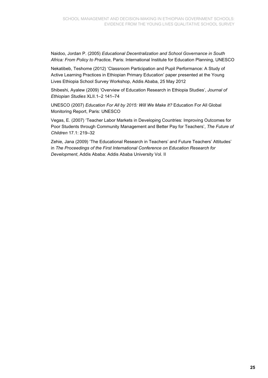Naidoo, Jordan P. (2005) *Educational Decentralization and School Governance in South Africa: From Policy to Practice,* Paris: International Institute for Education Planning, UNESCO

Nekatibeb, Teshome (2012) 'Classroom Participation and Pupil Performance: A Study of Active Learning Practices in Ethiopian Primary Education' paper presented at the Young Lives Ethiopia School Survey Workshop, Addis Ababa, 25 May 2012

Shibeshi, Ayalew (2009) 'Overview of Education Research in Ethiopia Studies', *Journal of Ethiopian Studies* XLII.1–2 141–74

UNESCO (2007) *Education For All by 2015: Will We Make It?* Education For All Global Monitoring Report, Paris: UNESCO

Vegas, E. (2007) 'Teacher Labor Markets in Developing Countries: Improving Outcomes for Poor Students through Community Management and Better Pay for Teachers', *The Future of Children* 17.1: 219–32

Zehie, Jana (2009) 'The Educational Research in Teachers' and Future Teachers' Attitudes' in *The Proceedings of the First International Conference on Education Research for Development*, Addis Ababa: Addis Ababa University Vol. II